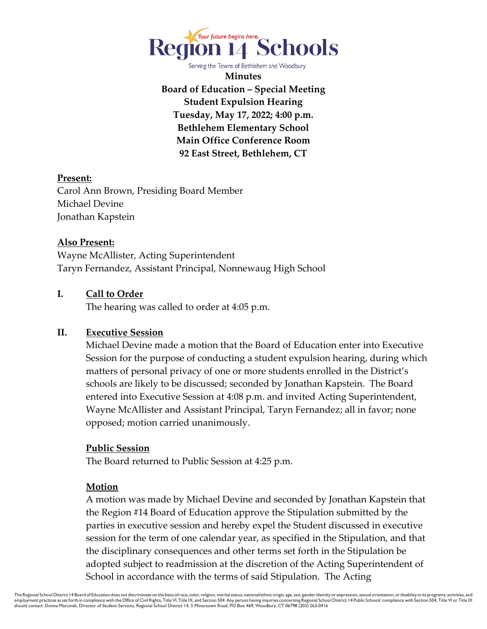

Serving the Towns of Bethlehem and Woodbury

**Minutes Board of Education – Special Meeting Student Expulsion Hearing Tuesday, May 17, 2022; 4:00 p.m. Bethlehem Elementary School Main Office Conference Room 92 East Street, Bethlehem, CT** 

### **Present:**

Carol Ann Brown, Presiding Board Member Michael Devine Jonathan Kapstein

## **Also Present:**

Wayne McAllister, Acting Superintendent Taryn Fernandez, Assistant Principal, Nonnewaug High School

## **I. Call to Order**

The hearing was called to order at 4:05 p.m.

# **II. Executive Session**

Michael Devine made a motion that the Board of Education enter into Executive Session for the purpose of conducting a student expulsion hearing, during which matters of personal privacy of one or more students enrolled in the District's schools are likely to be discussed; seconded by Jonathan Kapstein. The Board entered into Executive Session at 4:08 p.m. and invited Acting Superintendent, Wayne McAllister and Assistant Principal, Taryn Fernandez; all in favor; none opposed; motion carried unanimously.

### **Public Session**

The Board returned to Public Session at 4:25 p.m.

### **Motion**

A motion was made by Michael Devine and seconded by Jonathan Kapstein that the Region #14 Board of Education approve the Stipulation submitted by the parties in executive session and hereby expel the Student discussed in executive session for the term of one calendar year, as specified in the Stipulation, and that the disciplinary consequences and other terms set forth in the Stipulation be adopted subject to readmission at the discretion of the Acting Superintendent of School in accordance with the terms of said Stipulation. The Acting